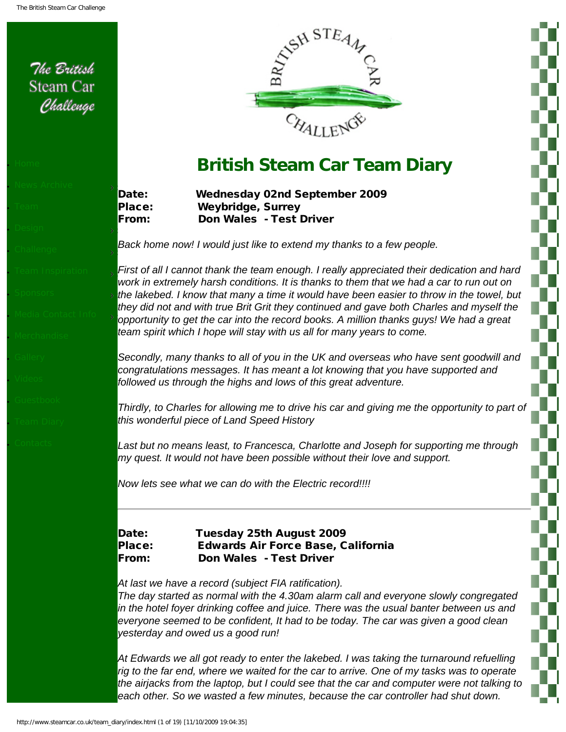<span id="page-0-0"></span>The British **Steam Car** 

Challenge

● [Team](http://www.steamcar.co.uk/team/index.html)

● [Home](http://www.steamcar.co.uk/index.html)

[Design](http://www.steamcar.co.uk/design/index.html)

• Challenge

**News Archive** 

● [Sponsors](http://www.steamcar.co.uk/sponsors/index.html) 

**[Merchandise](http://www.steamcar.co.uk/merchandise/index.html)** 

● [Gallery](http://www.steamcar.co.uk/gallery/index.html)

● [Videos](http://www.steamcar.co.uk/videos/index.html)

● [Guestbook](http://www.steamcar.co.uk/guestbook/index.html)

● [Team Diary](#page-0-0)

● [Contacts](http://www.steamcar.co.uk/contact/index.html)

**• [Team Inspiration](http://www.steamcar.co.uk/team_inspiration/index.html)** 

● [Media Contact Info](http://www.steamcar.co.uk/media/index.html)



# **British Steam Car Team Diary**

Date: Wednesday 02nd September 2009 Place: Weybridge, Surrey From: Don Wales - Test Driver

*Back home now! I would just like to extend my thanks to a few people.*

*First of all I cannot thank the team enough. I really appreciated their dedication and hard work in extremely harsh conditions. It is thanks to them that we had a car to run out on the lakebed. I know that many a time it would have been easier to throw in the towel, but they did not and with true Brit Grit they continued and gave both Charles and myself the opportunity to get the car into the record books. A million thanks guys! We had a great team spirit which I hope will stay with us all for many years to come.*

*Secondly, many thanks to all of you in the UK and overseas who have sent goodwill and congratulations messages. It has meant a lot knowing that you have supported and followed us through the highs and lows of this great adventure.*

*Thirdly, to Charles for allowing me to drive his car and giving me the opportunity to part of this wonderful piece of Land Speed History*

Last but no means least, to Francesca, Charlotte and Joseph for supporting me through *my quest. It would not have been possible without their love and support.*

*Now lets see what we can do with the Electric record!!!!*

Date: Tuesday 25th August 2009 Place: Edwards Air Force Base, California From: Don Wales - Test Driver

*At last we have a record (subject FIA ratification).* 

*The day started as normal with the 4.30am alarm call and everyone slowly congregated in the hotel foyer drinking coffee and juice. There was the usual banter between us and everyone seemed to be confident, It had to be today. The car was given a good clean yesterday and owed us a good run!*

*At Edwards we all got ready to enter the lakebed. I was taking the turnaround refuelling rig to the far end, where we waited for the car to arrive. One of my tasks was to operate the airjacks from the laptop, but I could see that the car and computer were not talking to*  each other. So we wasted a few minutes, because the car controller had shut down.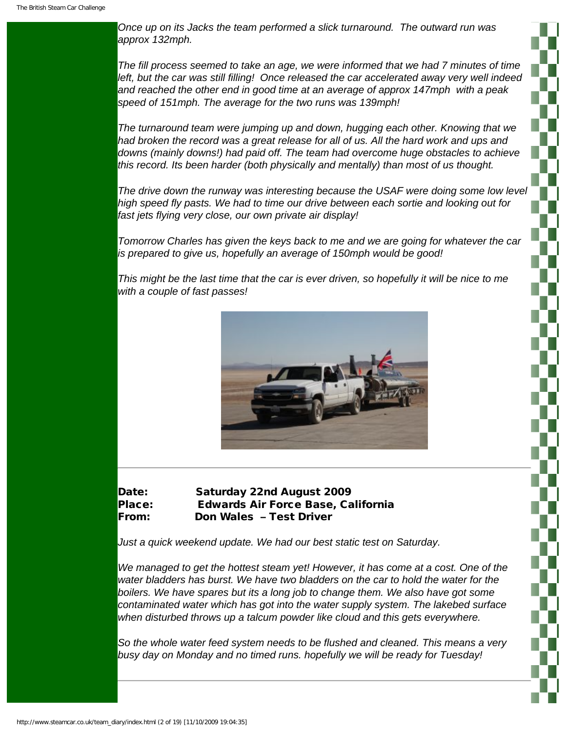*Once up on its Jacks the team performed a slick turnaround. The outward run was approx 132mph.*

*The fill process seemed to take an age, we were informed that we had 7 minutes of time left, but the car was still filling! Once released the car accelerated away very well indeed and reached the other end in good time at an average of approx 147mph with a peak speed of 151mph. The average for the two runs was 139mph!*

*The turnaround team were jumping up and down, hugging each other. Knowing that we had broken the record was a great release for all of us. All the hard work and ups and downs (mainly downs!) had paid off. The team had overcome huge obstacles to achieve this record. Its been harder (both physically and mentally) than most of us thought.*

*The drive down the runway was interesting because the USAF were doing some low level high speed fly pasts. We had to time our drive between each sortie and looking out for fast jets flying very close, our own private air display!*

*Tomorrow Charles has given the keys back to me and we are going for whatever the car is prepared to give us, hopefully an average of 150mph would be good!*

*This might be the last time that the car is ever driven, so hopefully it will be nice to me with a couple of fast passes!*



# Date: Saturday 22nd August 2009 Place: Edwards Air Force Base, California From: Don Wales – Test Driver

*Just a quick weekend update. We had our best static test on Saturday.* 

*We managed to get the hottest steam yet! However, it has come at a cost. One of the water bladders has burst. We have two bladders on the car to hold the water for the*  boilers. We have spares but its a long job to change them. We also have got some *contaminated water which has got into the water supply system. The lakebed surface when disturbed throws up a talcum powder like cloud and this gets everywhere.*

*So the whole water feed system needs to be flushed and cleaned. This means a very busy day on Monday and no timed runs. hopefully we will be ready for Tuesday!*

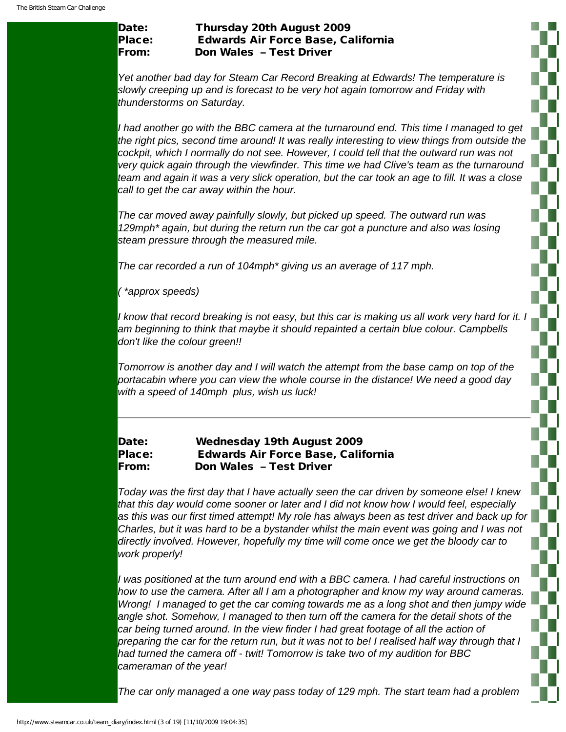# Date: Thursday 20th August 2009 Place: Edwards Air Force Base, California From: Don Wales – Test Driver

*Yet another bad day for Steam Car Record Breaking at Edwards! The temperature is slowly creeping up and is forecast to be very hot again tomorrow and Friday with thunderstorms on Saturday.*

*I had another go with the BBC camera at the turnaround end. This time I managed to get the right pics, second time around! It was really interesting to view things from outside the cockpit, which I normally do not see. However, I could tell that the outward run was not very quick again through the viewfinder. This time we had Clive's team as the turnaround team and again it was a very slick operation, but the car took an age to fill. It was a close call to get the car away within the hour.*

*The car moved away painfully slowly, but picked up speed. The outward run was 129mph\* again, but during the return run the car got a puncture and also was losing steam pressure through the measured mile.* 

*The car recorded a run of 104mph\* giving us an average of 117 mph.* 

*( \*approx speeds)*

*I know that record breaking is not easy, but this car is making us all work very hard for it. I am beginning to think that maybe it should repainted a certain blue colour. Campbells don't like the colour green!!*

*Tomorrow is another day and I will watch the attempt from the base camp on top of the portacabin where you can view the whole course in the distance! We need a good day with a speed of 140mph plus, wish us luck!*

# Date: Wednesday 19th August 2009 Place: Edwards Air Force Base, California From: Don Wales – Test Driver

*Today was the first day that I have actually seen the car driven by someone else! I knew that this day would come sooner or later and I did not know how I would feel, especially as this was our first timed attempt! My role has always been as test driver and back up for Charles, but it was hard to be a bystander whilst the main event was going and I was not directly involved. However, hopefully my time will come once we get the bloody car to work properly!*

*I was positioned at the turn around end with a BBC camera. I had careful instructions on how to use the camera. After all I am a photographer and know my way around cameras. Wrong! I managed to get the car coming towards me as a long shot and then jumpy wide angle shot. Somehow, I managed to then turn off the camera for the detail shots of the car being turned around. In the view finder I had great footage of all the action of preparing the car for the return run, but it was not to be! I realised half way through that I had turned the camera off - twit! Tomorrow is take two of my audition for BBC cameraman of the year!*

*The car only managed a one way pass today of 129 mph. The start team had a problem*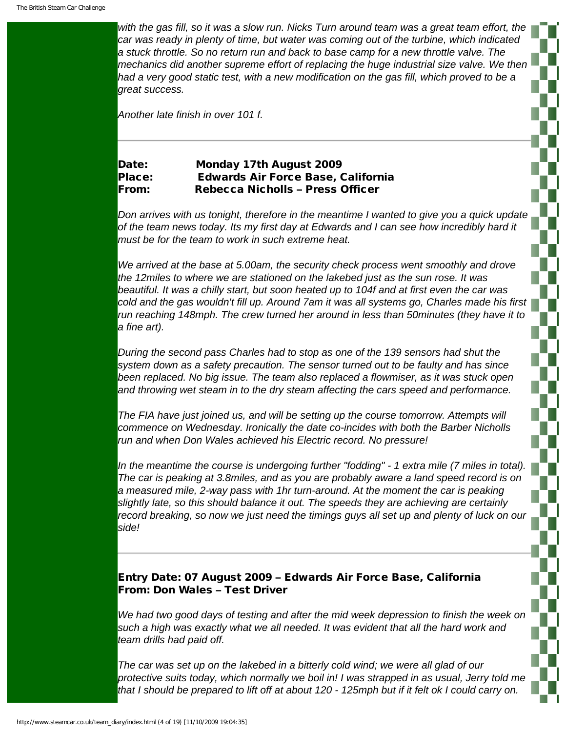*with the gas fill, so it was a slow run. Nicks Turn around team was a great team effort, the car was ready in plenty of time, but water was coming out of the turbine, which indicated a stuck throttle. So no return run and back to base camp for a new throttle valve. The mechanics did another supreme effort of replacing the huge industrial size valve. We then*  had a very good static test, with a new modification on the gas fill, which proved to be a *great success.*

*Another late finish in over 101 f.*

# Date: Monday 17th August 2009 Place: Edwards Air Force Base, California From: Rebecca Nicholls – Press Officer

*Don arrives with us tonight, therefore in the meantime I wanted to give you a quick update of the team news today. Its my first day at Edwards and I can see how incredibly hard it must be for the team to work in such extreme heat.*

*We arrived at the base at 5.00am, the security check process went smoothly and drove the 12miles to where we are stationed on the lakebed just as the sun rose. It was beautiful. It was a chilly start, but soon heated up to 104f and at first even the car was cold and the gas wouldn't fill up. Around 7am it was all systems go, Charles made his first run reaching 148mph. The crew turned her around in less than 50minutes (they have it to a fine art).*

*During the second pass Charles had to stop as one of the 139 sensors had shut the system down as a safety precaution. The sensor turned out to be faulty and has since been replaced. No big issue. The team also replaced a flowmiser, as it was stuck open and throwing wet steam in to the dry steam affecting the cars speed and performance.*

*The FIA have just joined us, and will be setting up the course tomorrow. Attempts will commence on Wednesday. Ironically the date co-incides with both the Barber Nicholls run and when Don Wales achieved his Electric record. No pressure!*

*In the meantime the course is undergoing further "fodding" - 1 extra mile (7 miles in total). The car is peaking at 3.8miles, and as you are probably aware a land speed record is on a measured mile, 2-way pass with 1hr turn-around. At the moment the car is peaking slightly late, so this should balance it out. The speeds they are achieving are certainly*  record breaking, so now we just need the timings guys all set up and plenty of luck on our *side!*

# Entry Date: 07 August 2009 – Edwards Air Force Base, California From: Don Wales – Test Driver

*We had two good days of testing and after the mid week depression to finish the week on such a high was exactly what we all needed. It was evident that all the hard work and team drills had paid off.*

*The car was set up on the lakebed in a bitterly cold wind; we were all glad of our protective suits today, which normally we boil in! I was strapped in as usual, Jerry told me that I should be prepared to lift off at about 120 - 125mph but if it felt ok I could carry on.* 

n a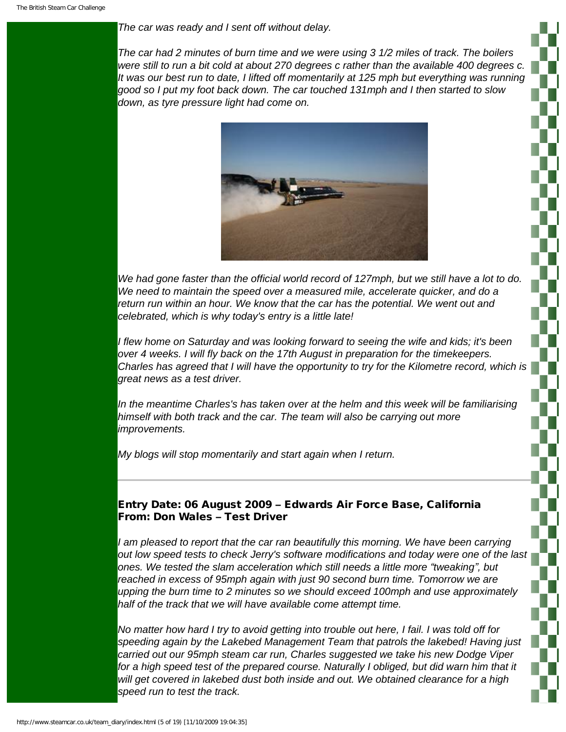#### *The car was ready and I sent off without delay.*

*The car had 2 minutes of burn time and we were using 3 1/2 miles of track. The boilers were still to run a bit cold at about 270 degrees c rather than the available 400 degrees c. It was our best run to date, I lifted off momentarily at 125 mph but everything was running good so I put my foot back down. The car touched 131mph and I then started to slow down, as tyre pressure light had come on.*



*We had gone faster than the official world record of 127mph, but we still have a lot to do. We need to maintain the speed over a measured mile, accelerate quicker, and do a*  return run within an hour. We know that the car has the potential. We went out and *celebrated, which is why today's entry is a little late!*

*I flew home on Saturday and was looking forward to seeing the wife and kids; it's been over 4 weeks. I will fly back on the 17th August in preparation for the timekeepers. Charles has agreed that I will have the opportunity to try for the Kilometre record, which is great news as a test driver.*

*In the meantime Charles's has taken over at the helm and this week will be familiarising himself with both track and the car. The team will also be carrying out more improvements.*

*My blogs will stop momentarily and start again when I return.*

# Entry Date: 06 August 2009 – Edwards Air Force Base, California From: Don Wales – Test Driver

*I am pleased to report that the car ran beautifully this morning. We have been carrying out low speed tests to check Jerry's software modifications and today were one of the last ones. We tested the slam acceleration which still needs a little more "tweaking", but*  reached in excess of 95mph again with just 90 second burn time. Tomorrow we are *upping the burn time to 2 minutes so we should exceed 100mph and use approximately half of the track that we will have available come attempt time.*

*No matter how hard I try to avoid getting into trouble out here, I fail. I was told off for speeding again by the Lakebed Management Team that patrols the lakebed! Having just carried out our 95mph steam car run, Charles suggested we take his new Dodge Viper*  for a high speed test of the prepared course. Naturally I obliged, but did warn him that it *will get covered in lakebed dust both inside and out. We obtained clearance for a high speed run to test the track.*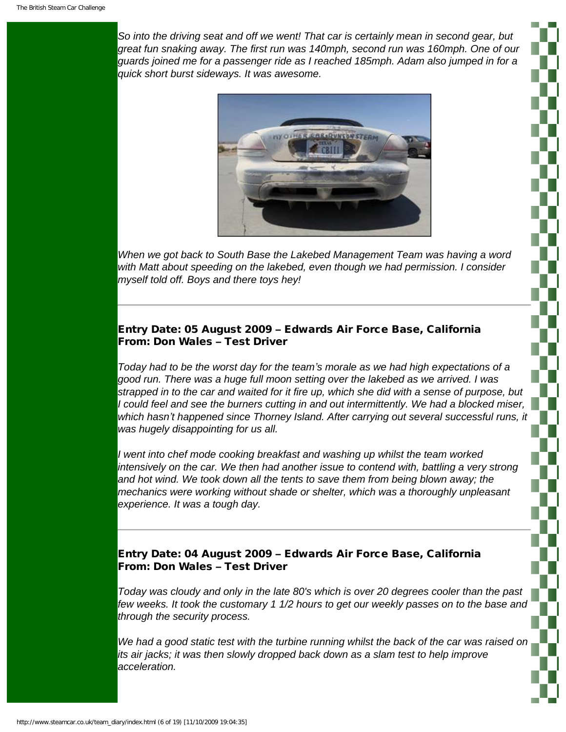*So into the driving seat and off we went! That car is certainly mean in second gear, but great fun snaking away. The first run was 140mph, second run was 160mph. One of our guards joined me for a passenger ride as I reached 185mph. Adam also jumped in for a quick short burst sideways. It was awesome.*



*When we got back to South Base the Lakebed Management Team was having a word with Matt about speeding on the lakebed, even though we had permission. I consider myself told off. Boys and there toys hey!*

# Entry Date: 05 August 2009 – Edwards Air Force Base, California From: Don Wales – Test Driver

*Today had to be the worst day for the team's morale as we had high expectations of a good run. There was a huge full moon setting over the lakebed as we arrived. I was strapped in to the car and waited for it fire up, which she did with a sense of purpose, but I could feel and see the burners cutting in and out intermittently. We had a blocked miser, which hasn't happened since Thorney Island. After carrying out several successful runs, it was hugely disappointing for us all.*

*I went into chef mode cooking breakfast and washing up whilst the team worked intensively on the car. We then had another issue to contend with, battling a very strong and hot wind. We took down all the tents to save them from being blown away; the mechanics were working without shade or shelter, which was a thoroughly unpleasant experience. It was a tough day.*

# Entry Date: 04 August 2009 – Edwards Air Force Base, California From: Don Wales – Test Driver

*Today was cloudy and only in the late 80's which is over 20 degrees cooler than the past few weeks. It took the customary 1 1/2 hours to get our weekly passes on to the base and through the security process.*

*We had a good static test with the turbine running whilst the back of the car was raised on its air jacks; it was then slowly dropped back down as a slam test to help improve acceleration.*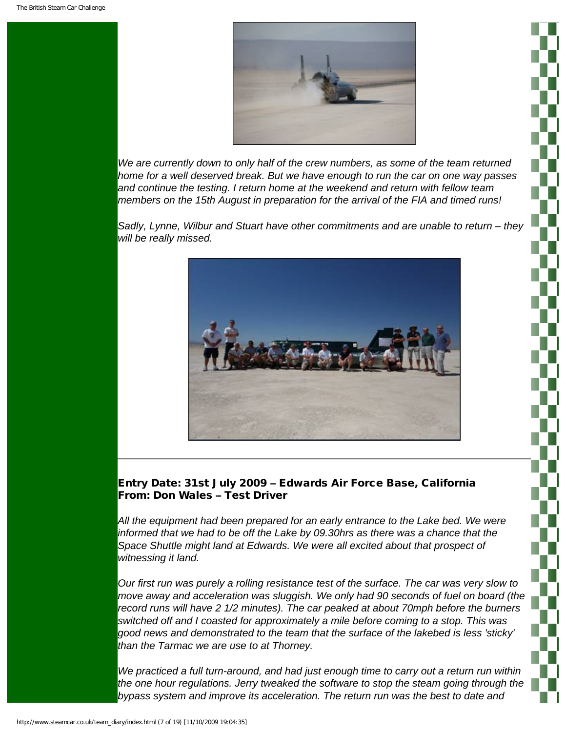

*We are currently down to only half of the crew numbers, as some of the team returned home for a well deserved break. But we have enough to run the car on one way passes and continue the testing. I return home at the weekend and return with fellow team members on the 15th August in preparation for the arrival of the FIA and timed runs!*

*Sadly, Lynne, Wilbur and Stuart have other commitments and are unable to return – they will be really missed.*



## Entry Date: 31st July 2009 – Edwards Air Force Base, California From: Don Wales – Test Driver

*All the equipment had been prepared for an early entrance to the Lake bed. We were informed that we had to be off the Lake by 09.30hrs as there was a chance that the*  Space Shuttle might land at Edwards. We were all excited about that prospect of *witnessing it land.*

*Our first run was purely a rolling resistance test of the surface. The car was very slow to move away and acceleration was sluggish. We only had 90 seconds of fuel on board (the record runs will have 2 1/2 minutes). The car peaked at about 70mph before the burners switched off and I coasted for approximately a mile before coming to a stop. This was good news and demonstrated to the team that the surface of the lakebed is less 'sticky' than the Tarmac we are use to at Thorney.*

*We practiced a full turn-around, and had just enough time to carry out a return run within the one hour regulations. Jerry tweaked the software to stop the steam going through the bypass system and improve its acceleration. The return run was the best to date and*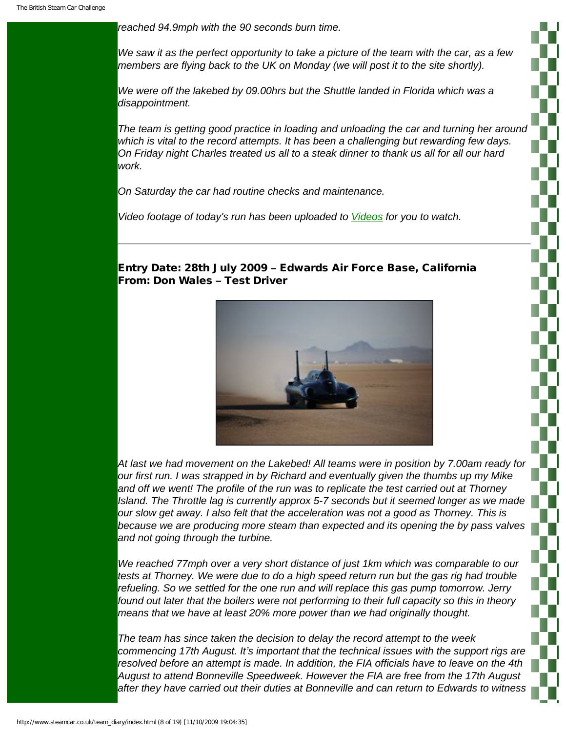*reached 94.9mph with the 90 seconds burn time.*

*We saw it as the perfect opportunity to take a picture of the team with the car, as a few members are flying back to the UK on Monday (we will post it to the site shortly).*

*We were off the lakebed by 09.00hrs but the Shuttle landed in Florida which was a disappointment.*

*The team is getting good practice in loading and unloading the car and turning her around which is vital to the record attempts. It has been a challenging but rewarding few days. On Friday night Charles treated us all to a steak dinner to thank us all for all our hard work.*

*On Saturday the car had routine checks and maintenance.* 

*Video footage of today's run has been uploaded to [Videos](http://www.steamcar.co.uk/videos/index.html) for you to watch.*

## Entry Date: 28th July 2009 – Edwards Air Force Base, California From: Don Wales – Test Driver



*At last we had movement on the Lakebed! All teams were in position by 7.00am ready for our first run. I was strapped in by Richard and eventually given the thumbs up my Mike and off we went! The profile of the run was to replicate the test carried out at Thorney Island. The Throttle lag is currently approx 5-7 seconds but it seemed longer as we made our slow get away. I also felt that the acceleration was not a good as Thorney. This is because we are producing more steam than expected and its opening the by pass valves and not going through the turbine.*

*We reached 77mph over a very short distance of just 1km which was comparable to our tests at Thorney. We were due to do a high speed return run but the gas rig had trouble refueling. So we settled for the one run and will replace this gas pump tomorrow. Jerry found out later that the boilers were not performing to their full capacity so this in theory means that we have at least 20% more power than we had originally thought.*

*The team has since taken the decision to delay the record attempt to the week commencing 17th August. It's important that the technical issues with the support rigs are resolved before an attempt is made. In addition, the FIA officials have to leave on the 4th August to attend Bonneville Speedweek. However the FIA are free from the 17th August after they have carried out their duties at Bonneville and can return to Edwards to witness*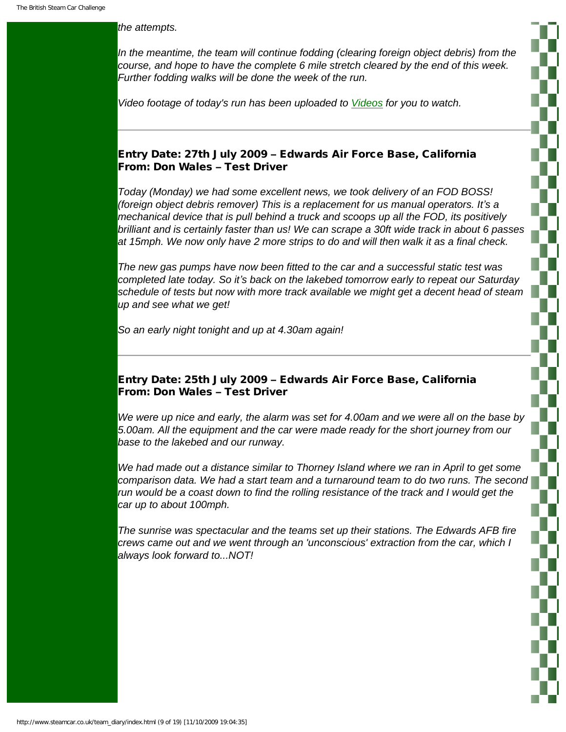#### *the attempts.*

In the meantime, the team will continue fodding (clearing foreign object debris) from the *course, and hope to have the complete 6 mile stretch cleared by the end of this week. Further fodding walks will be done the week of the run.*

*Video footage of today's run has been uploaded to [Videos](http://www.steamcar.co.uk/videos/index.html) for you to watch.*

## Entry Date: 27th July 2009 – Edwards Air Force Base, California From: Don Wales – Test Driver

*Today (Monday) we had some excellent news, we took delivery of an FOD BOSS! (foreign object debris remover) This is a replacement for us manual operators. It's a mechanical device that is pull behind a truck and scoops up all the FOD, its positively brilliant and is certainly faster than us! We can scrape a 30ft wide track in about 6 passes at 15mph. We now only have 2 more strips to do and will then walk it as a final check.*

*The new gas pumps have now been fitted to the car and a successful static test was completed late today. So it's back on the lakebed tomorrow early to repeat our Saturday schedule of tests but now with more track available we might get a decent head of steam up and see what we get!*

*So an early night tonight and up at 4.30am again!*

## Entry Date: 25th July 2009 – Edwards Air Force Base, California From: Don Wales – Test Driver

*We were up nice and early, the alarm was set for 4.00am and we were all on the base by 5.00am. All the equipment and the car were made ready for the short journey from our base to the lakebed and our runway.*

We had made out a distance similar to Thorney Island where we ran in April to get some *comparison data. We had a start team and a turnaround team to do two runs. The second run would be a coast down to find the rolling resistance of the track and I would get the car up to about 100mph.*

*The sunrise was spectacular and the teams set up their stations. The Edwards AFB fire crews came out and we went through an 'unconscious' extraction from the car, which I always look forward to...NOT!*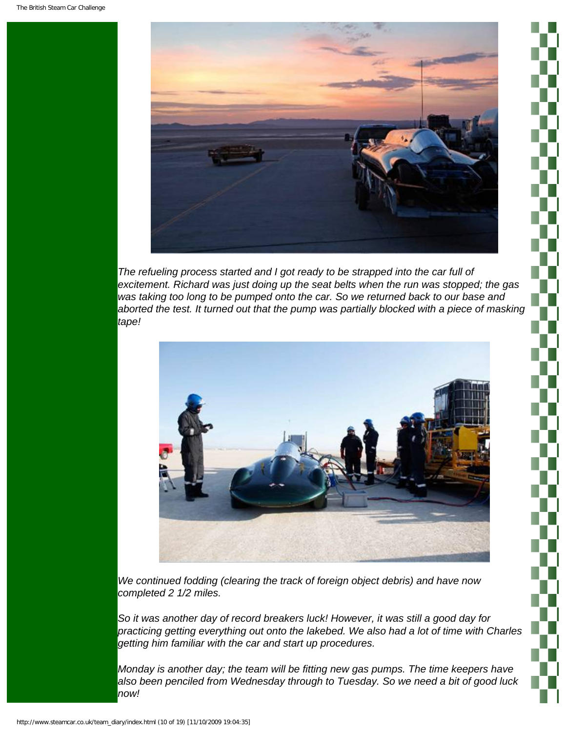

*The refueling process started and I got ready to be strapped into the car full of excitement. Richard was just doing up the seat belts when the run was stopped; the gas was taking too long to be pumped onto the car. So we returned back to our base and aborted the test. It turned out that the pump was partially blocked with a piece of masking tape!*



*We continued fodding (clearing the track of foreign object debris) and have now completed 2 1/2 miles.*

*So it was another day of record breakers luck! However, it was still a good day for practicing getting everything out onto the lakebed. We also had a lot of time with Charles getting him familiar with the car and start up procedures.*

*Monday is another day; the team will be fitting new gas pumps. The time keepers have also been penciled from Wednesday through to Tuesday. So we need a bit of good luck now!*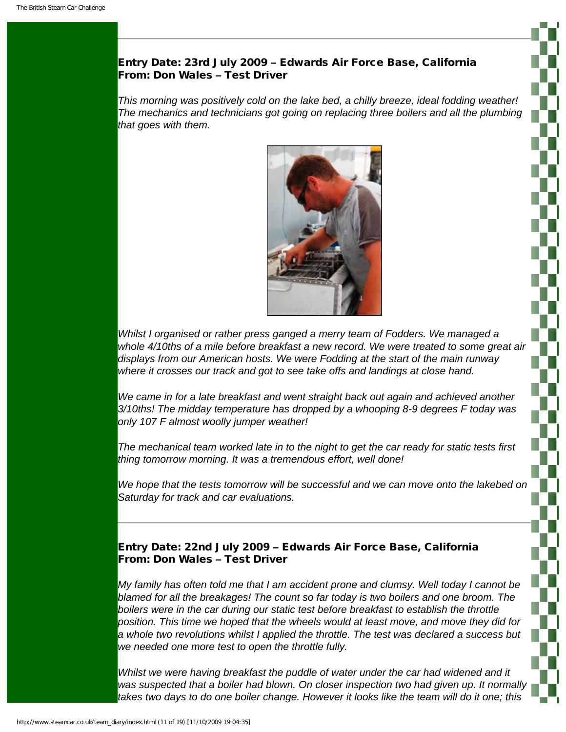# Entry Date: 23rd July 2009 – Edwards Air Force Base, California From: Don Wales – Test Driver

*This morning was positively cold on the lake bed, a chilly breeze, ideal fodding weather! The mechanics and technicians got going on replacing three boilers and all the plumbing that goes with them.*



*Whilst I organised or rather press ganged a merry team of Fodders. We managed a whole 4/10ths of a mile before breakfast a new record. We were treated to some great air displays from our American hosts. We were Fodding at the start of the main runway where it crosses our track and got to see take offs and landings at close hand.*

*We came in for a late breakfast and went straight back out again and achieved another 3/10ths! The midday temperature has dropped by a whooping 8-9 degrees F today was only 107 F almost woolly jumper weather!*

*The mechanical team worked late in to the night to get the car ready for static tests first thing tomorrow morning. It was a tremendous effort, well done!*

*We hope that the tests tomorrow will be successful and we can move onto the lakebed on Saturday for track and car evaluations.*

# Entry Date: 22nd July 2009 – Edwards Air Force Base, California From: Don Wales – Test Driver

*My family has often told me that I am accident prone and clumsy. Well today I cannot be blamed for all the breakages! The count so far today is two boilers and one broom. The boilers were in the car during our static test before breakfast to establish the throttle position. This time we hoped that the wheels would at least move, and move they did for a whole two revolutions whilst I applied the throttle. The test was declared a success but we needed one more test to open the throttle fully.*

*Whilst we were having breakfast the puddle of water under the car had widened and it was suspected that a boiler had blown. On closer inspection two had given up. It normally takes two days to do one boiler change. However it looks like the team will do it one; this*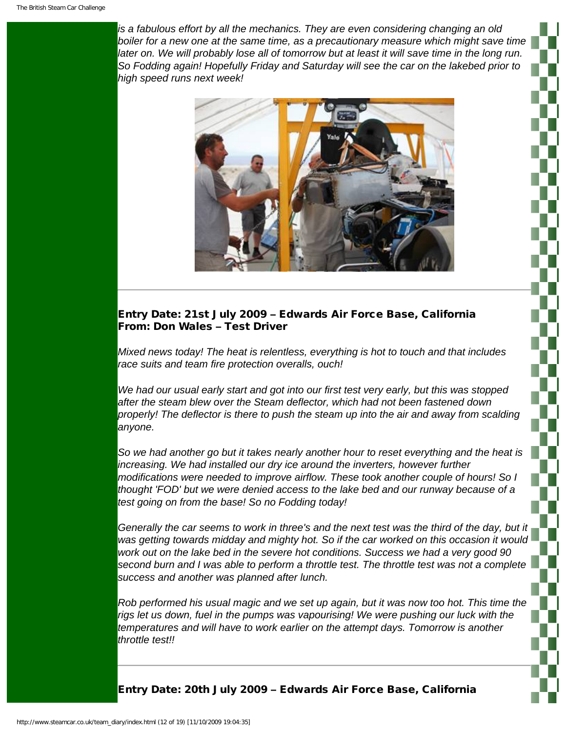*is a fabulous effort by all the mechanics. They are even considering changing an old*  boiler for a new one at the same time, as a precautionary measure which might save time *later on. We will probably lose all of tomorrow but at least it will save time in the long run. So Fodding again! Hopefully Friday and Saturday will see the car on the lakebed prior to high speed runs next week!*



# Entry Date: 21st July 2009 – Edwards Air Force Base, California From: Don Wales – Test Driver

*Mixed news today! The heat is relentless, everything is hot to touch and that includes race suits and team fire protection overalls, ouch!*

*We had our usual early start and got into our first test very early, but this was stopped after the steam blew over the Steam deflector, which had not been fastened down properly! The deflector is there to push the steam up into the air and away from scalding anyone.*

*So we had another go but it takes nearly another hour to reset everything and the heat is increasing. We had installed our dry ice around the inverters, however further modifications were needed to improve airflow. These took another couple of hours! So I thought 'FOD' but we were denied access to the lake bed and our runway because of a test going on from the base! So no Fodding today!*

*Generally the car seems to work in three's and the next test was the third of the day, but it was getting towards midday and mighty hot. So if the car worked on this occasion it would work out on the lake bed in the severe hot conditions. Success we had a very good 90 second burn and I was able to perform a throttle test. The throttle test was not a complete success and another was planned after lunch.*

*Rob performed his usual magic and we set up again, but it was now too hot. This time the rigs let us down, fuel in the pumps was vapourising! We were pushing our luck with the temperatures and will have to work earlier on the attempt days. Tomorrow is another throttle test!!*

Entry Date: 20th July 2009 – Edwards Air Force Base, California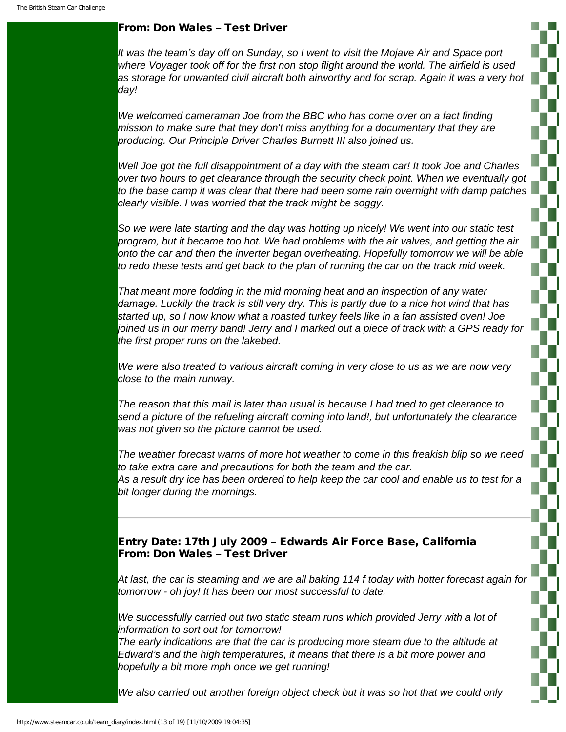#### From: Don Wales – Test Driver

*It was the team's day off on Sunday, so I went to visit the Mojave Air and Space port where Voyager took off for the first non stop flight around the world. The airfield is used as storage for unwanted civil aircraft both airworthy and for scrap. Again it was a very hot day!*

*We welcomed cameraman Joe from the BBC who has come over on a fact finding mission to make sure that they don't miss anything for a documentary that they are producing. Our Principle Driver Charles Burnett III also joined us.*

*Well Joe got the full disappointment of a day with the steam car! It took Joe and Charles over two hours to get clearance through the security check point. When we eventually got to the base camp it was clear that there had been some rain overnight with damp patches clearly visible. I was worried that the track might be soggy.*

*So we were late starting and the day was hotting up nicely! We went into our static test program, but it became too hot. We had problems with the air valves, and getting the air onto the car and then the inverter began overheating. Hopefully tomorrow we will be able to redo these tests and get back to the plan of running the car on the track mid week.*

*That meant more fodding in the mid morning heat and an inspection of any water damage. Luckily the track is still very dry. This is partly due to a nice hot wind that has started up, so I now know what a roasted turkey feels like in a fan assisted oven! Joe joined us in our merry band! Jerry and I marked out a piece of track with a GPS ready for the first proper runs on the lakebed.*

*We were also treated to various aircraft coming in very close to us as we are now very close to the main runway.*

*The reason that this mail is later than usual is because I had tried to get clearance to send a picture of the refueling aircraft coming into land!, but unfortunately the clearance was not given so the picture cannot be used.*

*The weather forecast warns of more hot weather to come in this freakish blip so we need to take extra care and precautions for both the team and the car. As a result dry ice has been ordered to help keep the car cool and enable us to test for a bit longer during the mornings.*

# Entry Date: 17th July 2009 – Edwards Air Force Base, California From: Don Wales – Test Driver

*At last, the car is steaming and we are all baking 114 f today with hotter forecast again for tomorrow - oh joy! It has been our most successful to date.* 

We successfully carried out two static steam runs which provided Jerry with a lot of *information to sort out for tomorrow!* 

*The early indications are that the car is producing more steam due to the altitude at Edward's and the high temperatures, it means that there is a bit more power and hopefully a bit more mph once we get running!* 

*We also carried out another foreign object check but it was so hot that we could only*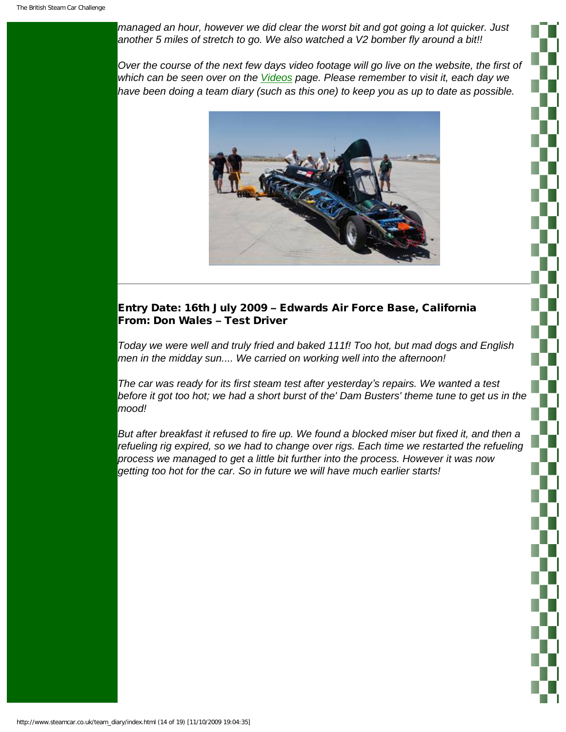*managed an hour, however we did clear the worst bit and got going a lot quicker. Just another 5 miles of stretch to go. We also watched a V2 bomber fly around a bit!!* 

*Over the course of the next few days video footage will go live on the website, the first of which can be seen over on the [Videos](http://www.steamcar.co.uk/videos/index.html) page. Please remember to visit it, each day we have been doing a team diary (such as this one) to keep you as up to date as possible.* 



# Entry Date: 16th July 2009 – Edwards Air Force Base, California From: Don Wales – Test Driver

*Today we were well and truly fried and baked 111f! Too hot, but mad dogs and English men in the midday sun.... We carried on working well into the afternoon!* 

*The car was ready for its first steam test after yesterday's repairs. We wanted a test before it got too hot; we had a short burst of the' Dam Busters' theme tune to get us in the mood!* 

*But after breakfast it refused to fire up. We found a blocked miser but fixed it, and then a refueling rig expired, so we had to change over rigs. Each time we restarted the refueling process we managed to get a little bit further into the process. However it was now getting too hot for the car. So in future we will have much earlier starts!*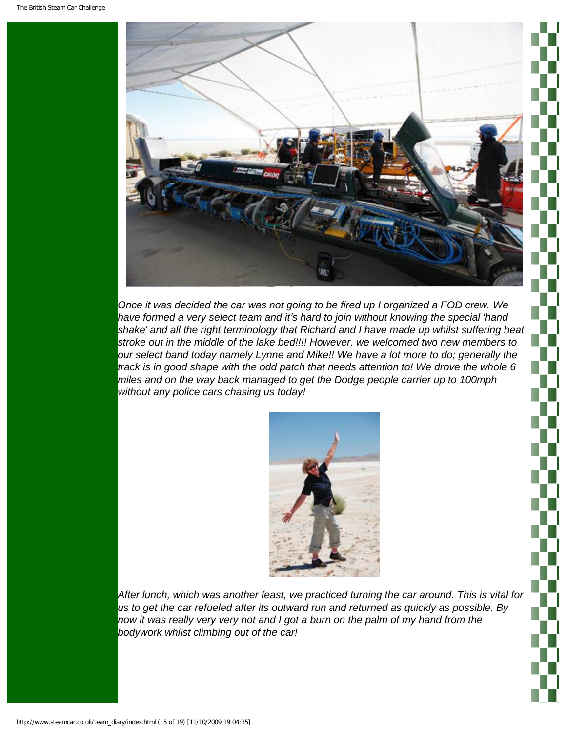

*Once it was decided the car was not going to be fired up I organized a FOD crew. We have formed a very select team and it's hard to join without knowing the special 'hand shake' and all the right terminology that Richard and I have made up whilst suffering heat stroke out in the middle of the lake bed!!!! However, we welcomed two new members to our select band today namely Lynne and Mike!! We have a lot more to do; generally the track is in good shape with the odd patch that needs attention to! We drove the whole 6 miles and on the way back managed to get the Dodge people carrier up to 100mph without any police cars chasing us today!* 



*After lunch, which was another feast, we practiced turning the car around. This is vital for us to get the car refueled after its outward run and returned as quickly as possible. By now it was really very very hot and I got a burn on the palm of my hand from the bodywork whilst climbing out of the car!*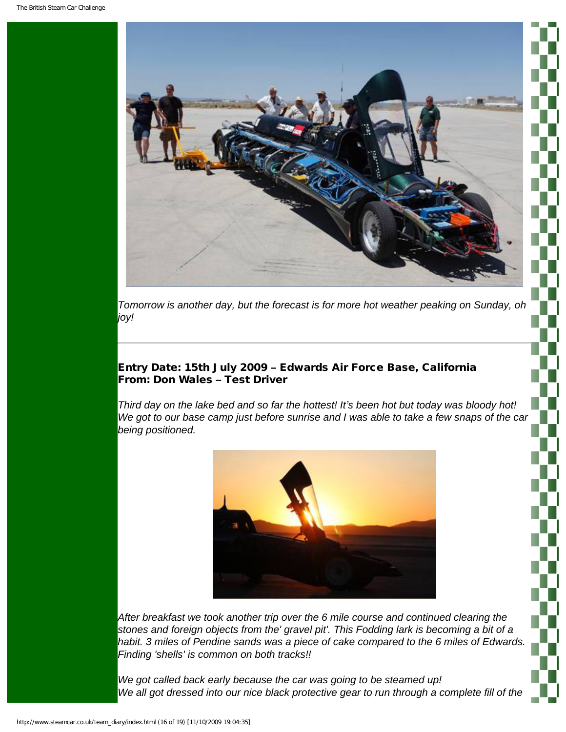

*Tomorrow is another day, but the forecast is for more hot weather peaking on Sunday, oh joy!*

# Entry Date: 15th July 2009 – Edwards Air Force Base, California From: Don Wales – Test Driver

*Third day on the lake bed and so far the hottest! It's been hot but today was bloody hot! We got to our base camp just before sunrise and I was able to take a few snaps of the car being positioned.*



*After breakfast we took another trip over the 6 mile course and continued clearing the stones and foreign objects from the' gravel pit'. This Fodding lark is becoming a bit of a habit. 3 miles of Pendine sands was a piece of cake compared to the 6 miles of Edwards. Finding 'shells' is common on both tracks!!*

*We got called back early because the car was going to be steamed up!*  We all got dressed into our nice black protective gear to run through a complete fill of the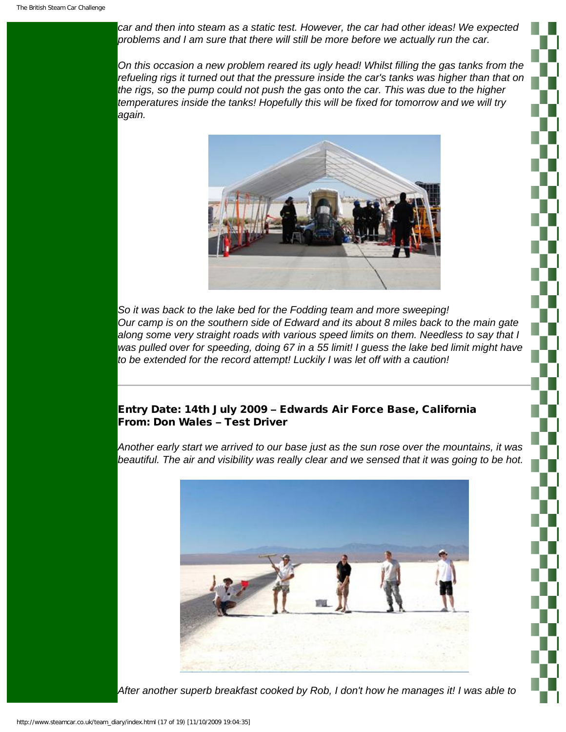*car and then into steam as a static test. However, the car had other ideas! We expected problems and I am sure that there will still be more before we actually run the car.*

*On this occasion a new problem reared its ugly head! Whilst filling the gas tanks from the refueling rigs it turned out that the pressure inside the car's tanks was higher than that on the rigs, so the pump could not push the gas onto the car. This was due to the higher temperatures inside the tanks! Hopefully this will be fixed for tomorrow and we will try again.*



*So it was back to the lake bed for the Fodding team and more sweeping! Our camp is on the southern side of Edward and its about 8 miles back to the main gate along some very straight roads with various speed limits on them. Needless to say that I*  was pulled over for speeding, doing 67 in a 55 limit! I guess the lake bed limit might have *to be extended for the record attempt! Luckily I was let off with a caution!*

# Entry Date: 14th July 2009 – Edwards Air Force Base, California From: Don Wales – Test Driver

*Another early start we arrived to our base just as the sun rose over the mountains, it was beautiful. The air and visibility was really clear and we sensed that it was going to be hot.*



*After another superb breakfast cooked by Rob, I don't how he manages it! I was able to*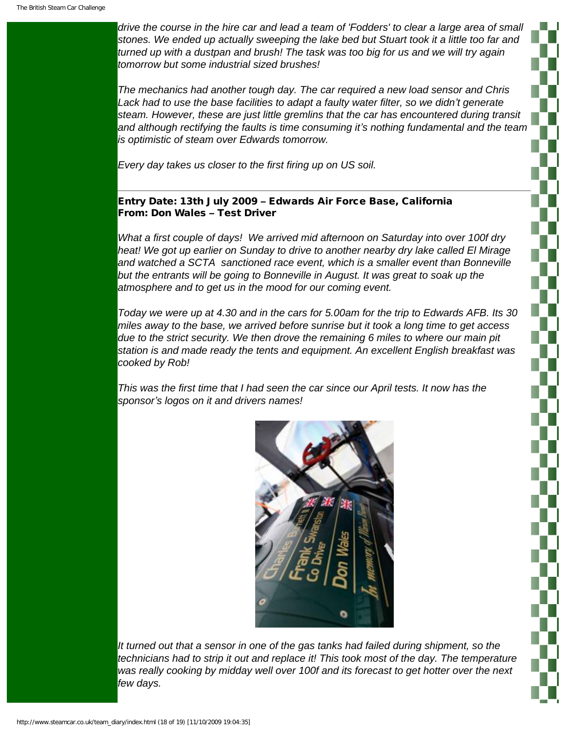*drive the course in the hire car and lead a team of 'Fodders' to clear a large area of small stones. We ended up actually sweeping the lake bed but Stuart took it a little too far and turned up with a dustpan and brush! The task was too big for us and we will try again tomorrow but some industrial sized brushes!*

*The mechanics had another tough day. The car required a new load sensor and Chris Lack had to use the base facilities to adapt a faulty water filter, so we didn't generate steam. However, these are just little gremlins that the car has encountered during transit and although rectifying the faults is time consuming it's nothing fundamental and the team is optimistic of steam over Edwards tomorrow.*

*Every day takes us closer to the first firing up on US soil.*

#### Entry Date: 13th July 2009 – Edwards Air Force Base, California From: Don Wales – Test Driver

*What a first couple of days! We arrived mid afternoon on Saturday into over 100f dry heat! We got up earlier on Sunday to drive to another nearby dry lake called El Mirage and watched a SCTA sanctioned race event, which is a smaller event than Bonneville but the entrants will be going to Bonneville in August. It was great to soak up the atmosphere and to get us in the mood for our coming event.*

*Today we were up at 4.30 and in the cars for 5.00am for the trip to Edwards AFB. Its 30 miles away to the base, we arrived before sunrise but it took a long time to get access due to the strict security. We then drove the remaining 6 miles to where our main pit station is and made ready the tents and equipment. An excellent English breakfast was cooked by Rob!*

*This was the first time that I had seen the car since our April tests. It now has the sponsor's logos on it and drivers names!*



*It turned out that a sensor in one of the gas tanks had failed during shipment, so the technicians had to strip it out and replace it! This took most of the day. The temperature was really cooking by midday well over 100f and its forecast to get hotter over the next few days.*